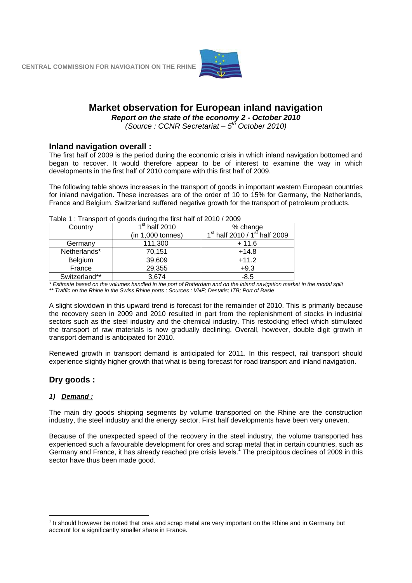

## **Market observation for European inland navigation**

*Report on the state of the economy 2 - October 2010* 

*(Source : CCNR Secretariat – 5th October 2010)*

## **Inland navigation overall :**

The first half of 2009 is the period during the economic crisis in which inland navigation bottomed and began to recover. It would therefore appear to be of interest to examine the way in which developments in the first half of 2010 compare with this first half of 2009.

The following table shows increases in the transport of goods in important western European countries for inland navigation. These increases are of the order of 10 to 15% for Germany, the Netherlands, France and Belgium. Switzerland suffered negative growth for the transport of petroleum products.

| Country       | $1st$ half 2010   | % change % % % % % change 1st half 2010 / 1st half 2009 |  |  |
|---------------|-------------------|---------------------------------------------------------|--|--|
|               | (in 1,000 tonnes) |                                                         |  |  |
| Germany       | 111,300           | $+11.6$                                                 |  |  |
| Netherlands*  | 70,151            | $+14.8$                                                 |  |  |
| Belgium       | 39,609            | $+11.2$                                                 |  |  |
| France        | 29,355            | $+9.3$                                                  |  |  |
| Switzerland** | 3,674             | $-8.5$                                                  |  |  |

Table 1 : Transport of goods during the first half of 2010 / 2009

*\* Estimate based on the volumes handled in the port of Rotterdam and on the inland navigation market in the modal split \*\* Traffic on the Rhine in the Swiss Rhine ports ; Sources : VNF; Destatis; ITB; Port of Basle*

A slight slowdown in this upward trend is forecast for the remainder of 2010. This is primarily because the recovery seen in 2009 and 2010 resulted in part from the replenishment of stocks in industrial sectors such as the steel industry and the chemical industry. This restocking effect which stimulated the transport of raw materials is now gradually declining. Overall, however, double digit growth in transport demand is anticipated for 2010.

Renewed growth in transport demand is anticipated for 2011. In this respect, rail transport should experience slightly higher growth that what is being forecast for road transport and inland navigation.

## **Dry goods :**

## *1) Demand :*

<u>.</u>

The main dry goods shipping segments by volume transported on the Rhine are the construction industry, the steel industry and the energy sector. First half developments have been very uneven.

Because of the unexpected speed of the recovery in the steel industry, the volume transported has experienced such a favourable development for ores and scrap metal that in certain countries, such as Germany and France, it has already reached pre crisis levels.<sup>1</sup> The precipitous declines of 2009 in this sector have thus been made good.

 $<sup>1</sup>$  It should however be noted that ores and scrap metal are very important on the Rhine and in Germany but</sup> account for a significantly smaller share in France.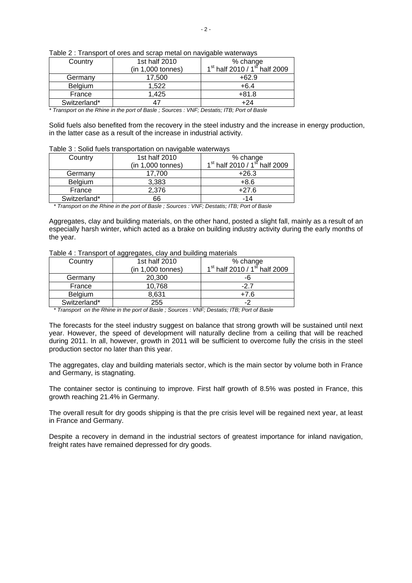| Country      | 1st half 2010<br>(in 1,000 tonnes) | % change % % % % % change 1st half 2010 / 1st half 2009 |
|--------------|------------------------------------|---------------------------------------------------------|
| Germany      | 17.500                             | $+62.9$                                                 |
| Belgium      | 1.522                              | $+6.4$                                                  |
| France       | 1.425                              | $+81.8$                                                 |
| Switzerland* |                                    | +24                                                     |

Table 2 : Transport of ores and scrap metal on navigable waterways

*\* Transport on the Rhine in the port of Basle ; Sources : VNF; Destatis; ITB; Port of Basle*

Solid fuels also benefited from the recovery in the steel industry and the increase in energy production, in the latter case as a result of the increase in industrial activity.

#### Table 3 : Solid fuels transportation on navigable waterways

| Country      | 1st half 2010     | % change % % % % % change 1 <sup>st</sup> half 2010 / 1 <sup>st</sup> half 2009 |  |
|--------------|-------------------|---------------------------------------------------------------------------------|--|
|              | (in 1,000 tonnes) |                                                                                 |  |
| Germany      | 17.700            | $+26.3$                                                                         |  |
| Belgium      | 3,383             | $+8.6$                                                                          |  |
| France       | 2,376             | $+27.6$                                                                         |  |
| Switzerland* | 66                | -14                                                                             |  |

 *\* Transport on the Rhine in the port of Basle ; Sources : VNF; Destatis; ITB; Port of Basle* 

Aggregates, clay and building materials, on the other hand, posted a slight fall, mainly as a result of an especially harsh winter, which acted as a brake on building industry activity during the early months of the year.

Table 4 : Transport of aggregates, clay and building materials

| Country      | 1st half 2010     | % change                                              |  |
|--------------|-------------------|-------------------------------------------------------|--|
|              | (in 1,000 tonnes) | 1 <sup>st</sup> half 2010 / 1 <sup>st</sup> half 2009 |  |
| Germany      | 20,300            | -6                                                    |  |
| France       | 10.768            | -27                                                   |  |
| Belgium      | 8.631             | +7.6                                                  |  |
| Switzerland* | 255               |                                                       |  |

 *\* Transport on the Rhine in the port of Basle ; Sources : VNF; Destatis; ITB; Port of Basle* 

The forecasts for the steel industry suggest on balance that strong growth will be sustained until next year. However, the speed of development will naturally decline from a ceiling that will be reached during 2011. In all, however, growth in 2011 will be sufficient to overcome fully the crisis in the steel production sector no later than this year.

The aggregates, clay and building materials sector, which is the main sector by volume both in France and Germany, is stagnating.

The container sector is continuing to improve. First half growth of 8.5% was posted in France, this growth reaching 21.4% in Germany.

The overall result for dry goods shipping is that the pre crisis level will be regained next year, at least in France and Germany.

Despite a recovery in demand in the industrial sectors of greatest importance for inland navigation, freight rates have remained depressed for dry goods.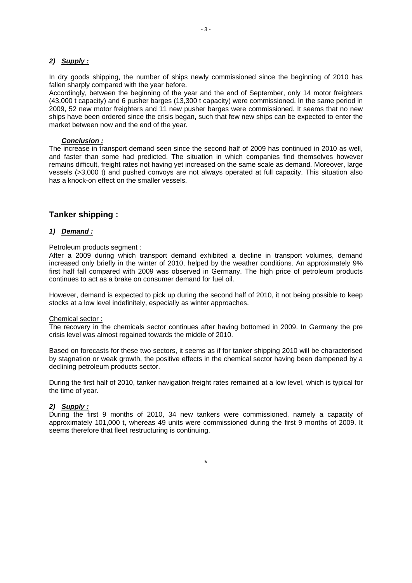## *2) Supply :*

In dry goods shipping, the number of ships newly commissioned since the beginning of 2010 has fallen sharply compared with the year before.

Accordingly, between the beginning of the year and the end of September, only 14 motor freighters (43,000 t capacity) and 6 pusher barges (13,300 t capacity) were commissioned. In the same period in 2009, 52 new motor freighters and 11 new pusher barges were commissioned. It seems that no new ships have been ordered since the crisis began, such that few new ships can be expected to enter the market between now and the end of the year.

#### *Conclusion :*

The increase in transport demand seen since the second half of 2009 has continued in 2010 as well, and faster than some had predicted. The situation in which companies find themselves however remains difficult, freight rates not having yet increased on the same scale as demand. Moreover, large vessels (>3,000 t) and pushed convoys are not always operated at full capacity. This situation also has a knock-on effect on the smaller vessels.

## **Tanker shipping :**

### *1) Demand :*

#### Petroleum products segment :

After a 2009 during which transport demand exhibited a decline in transport volumes, demand increased only briefly in the winter of 2010, helped by the weather conditions. An approximately 9% first half fall compared with 2009 was observed in Germany. The high price of petroleum products continues to act as a brake on consumer demand for fuel oil.

However, demand is expected to pick up during the second half of 2010, it not being possible to keep stocks at a low level indefinitely, especially as winter approaches.

#### Chemical sector :

The recovery in the chemicals sector continues after having bottomed in 2009. In Germany the pre crisis level was almost regained towards the middle of 2010.

Based on forecasts for these two sectors, it seems as if for tanker shipping 2010 will be characterised by stagnation or weak growth, the positive effects in the chemical sector having been dampened by a declining petroleum products sector.

During the first half of 2010, tanker navigation freight rates remained at a low level, which is typical for the time of year.

## *2) Supply :*

During the first 9 months of 2010, 34 new tankers were commissioned, namely a capacity of approximately 101,000 t, whereas 49 units were commissioned during the first 9 months of 2009. It seems therefore that fleet restructuring is continuing.

\*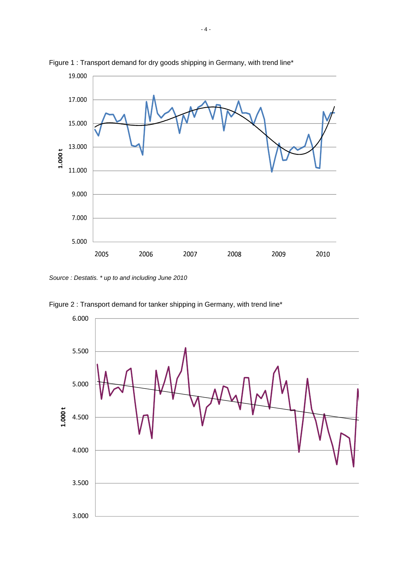

Figure 1 : Transport demand for dry goods shipping in Germany, with trend line\*

*Source : Destatis. \* up to and including June 2010*

Figure 2 : Transport demand for tanker shipping in Germany, with trend line\*

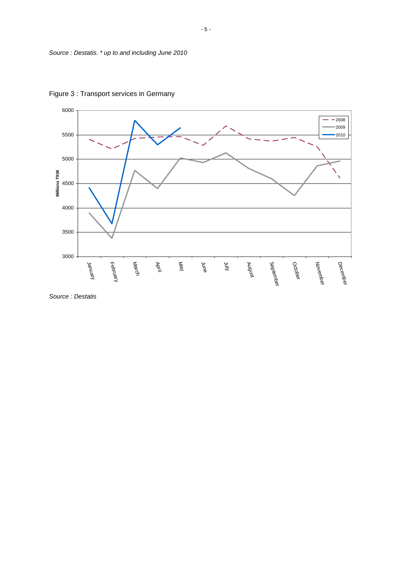

Figure 3 : Transport services in Germany

*Source : Destatis*